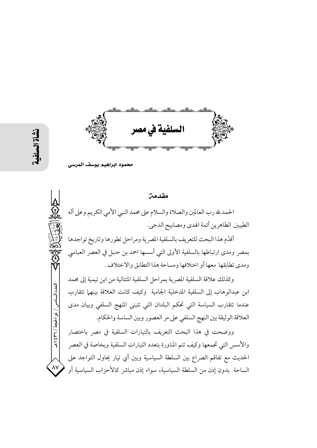

 $\overline{\mathsf{A}\mathsf{V}}$ 

محمود ابراهيم يوسف الم

مقدمة الحمد لله رب العالمين والصلاة والسلام على محمد النبي الأمي الكريم وعلى آله الطيبين الطاهرين أئمة الهدى ومصابيح الدجي. أقدّم هذا البحث للتعريف بالسلفية المصرية ومراحل تطورها وتاريخ تواجدها بمصر ومدى ارتباطها بالسلفية الأولى التي أسسها احمد بن حنبل في العصر العباسي ومدى تطابقها معها أو اختلافها ومساحة هذا التطابق والاختلاف . وكذلك علاقة السلفية المصرية بمراحل السلفية المتتالية من ابن تيمية إلى محمد العدد السادس / ذو الحجة / ٣٦ / ٤٣٩ ابن عبدالوهاب إلى السلفية المدخلية الجامية وكيف كانت العلاقة بينهما تتقارب عندما تتقارب السياسة التي تحكم البلدان التي تتبنى المنهج السلفى وبيان مدى العلاقة الوثيقة بين النهج السلفي على مر العصور وبين الساسة والحكام. ووضحت في هذا البحث التعريف بالتيارات السلفية في مصر باختصار والأسس التي تجمعها وكيف تتم المناورة بتعدد التيارات السلفية وبخاصة في العصر الحديث مع تفاقم الصراع بين السلطة السياسية وبين أي تيار يحاول التواجد على

الساحة بدون إذن من السلطة السياسية، سواء إذن مباشر كالأحزاب السياسية أو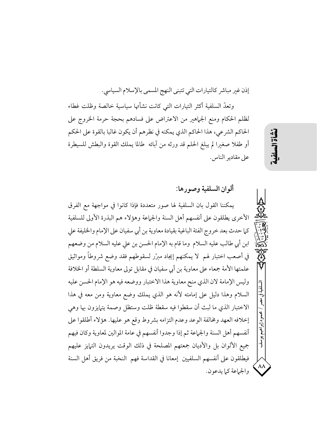إذن غير مباشر كالتيارات التي تتبنى النهج المسمى بالإسلام السياسي.

وتعدُّ السلفية أكثر التيارات التي كانت نشأتها سياسية خالصة وظلت غطاء لظلم الحكام ومنع الجماهير من الاعتراض على فسادهم بحجة حرمة الخروج على الحاكم الشرعي، هذا الحاكم الذي يمكنه في نظرهم أن يكون غالبا بالقوة على الحكم أو طفلا صغيرا لم يبلغ الحلم قد ورثه من آبائه طالما يملك القوة والبطش للسيطرة على مقادير الناس.

ألوان السلفية وصورها:

يمكننا القول بان السلفية لها صور متعددة فإذا كانوا في مواجهة مع الفرق الأخرى يطلقون على أنفسهم أهل السنة والجماعة وهؤلاء هم البذرة الأولى للسلفية كما حدث بعد خروج الفئة الباغية بقيادة معاوية بن أبي سفيان على الإمام والخليفة على ابن أبي طالب عليه السلام وما قام به الإمام الحسن بن على عليه السلام من وضعهم في أصعب اختبار لهم لا يمكنهم إيجاد مبرَّر لسقوطهم فقد وضع شروطاً ومواثيق علمتها الأمة جمعاء على معاوية بن أبي سفيان في مقابل تولى معاوية السلطة أو الخلافة وليس الإمامة لان الذي منح معاوية هذا الاختبار ووضعه فيه هو الإمام الحسن عليه السلام وهذا دليل على إمامته لأنه هو الذي يملك وضع معاوية ومن معه في هذا الاختبار الذي ما لبث أن سقطوا فيه سقطة ظلت وستظل وصمة يتهايزون بها وهي إخلافه العهد ومخالفة الوعد وعدم التزامه بشروط وقع هو عليها. هؤلاء أطلقوا على أنفسهم أهل السنة والجماعة ثم إذا وجدوا أنفسهم في عامة الموالين لمعاوية وكان فيهم جميع الألوان بل والأديان جمعتهم المصلحة في ذلك الوقت يريدون التمايز عليهم فيطلقون على أنفسهم السلفيين إمعانا في القداسة فهم النخبة من فريق أهل السنة والجماعة كما يدعون.

نشأة الس

محمود إبراهيم يو.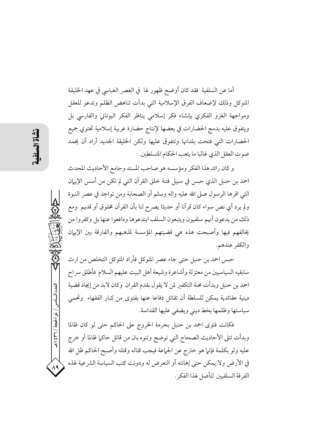أما عن السلفية ًفقد كان أوضح ظهور لها ً في العصر العباسي في عهد الخليفة المتوكل وذلك لإضعاف الفرق الإسلامية التي بدأت تناهض الظلم وتدعو للعقل ومواجهة الغزو الفكرى بإنشاء فكر إسلامي يناظر الفكر اليوناني والفارسي بل ويتفوق عليه بدمج الحضارات في بعضها لإنتاج حضارة عربية إسلامية تحتوى جميع الحضارات التي فتحت بلدانها وتتفوق عليها ولكن الخليفة الجديد أراد أن يخمد صوت العقل الذي غالبا ما يتعب الحكام المتسلطين.

و كان رائد هذا الفكر ومؤسسه هو صاحب المسند وجامع الأحاديث المحدث احمد بن حنبل الذي حبس في سبيل فتنة خلق القرآن التي لم تكن من أسس الإيهان التي اقرها الرسول صلى الله عليه واله وسلم أو الصحابة ومن تواجد في عصر النبوة ولم يرد أي نص سواء كان قرآنا أو حديثا يصرح لنا بأن القرآن مخلوق أو قديم ۖ ومع ذلك من يدعون أنهم سلفيون ويتبعون السلف ابتدعوها ودافعوا عنها بل وكفروا من يخالفهم فيها وأصبحت هذه هي قضيتهم المؤسسة لمذهبهم والفارقة بين الإيهان والكفر عندهم.

حبس احمد بن حنبل حتى جاء عصر المتوكل فأراد المتوكل التخلص من ارث سابقيه السياسيين من معتزلة وأشاعرة وشيعة أهل البيت عليهم السلام فأطلق سراح احمد بن حنبل وبدأت محنة التكفير لمن لا يقول بقدم القران وكان لابد من إيجاد قضية دينية عقائدية يمكن للسلطة أن تقاتل دفاعا عنها بفتوى من كبار الفقهاء وتحمى سياستها وظلمها بخط ديني ويضفى عليها القداسة.

فكانت فتوى احمد بن حنبل بحرمة الخروج على الحاكم حتى لو كان ظالما وبدأت تتلى الأحاديث الصحاح التي توضح وتنوه بان من قاتل حاكما ظالما أو خرج عليه ولو بكلمة فإنها هو خارج عن الجماعة فيجب قتاله وقتله وأصبح الحاكم ظل الله في الأرض ولا يمكن حتى إهانته أو التعرض له ودونت كتب السياسة الشرعية لهذه الفرقة السلفين لتأصل لهذا الفكر .

العدد السادس / ذو الحجة / ٣٦٦ هـ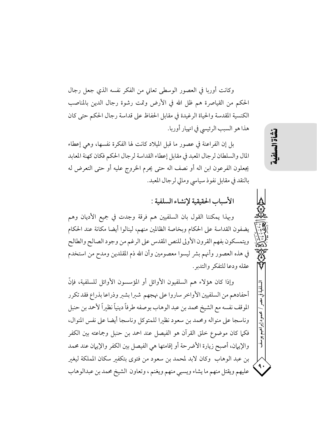وكانت أوربا في العصور الوسطى تعانى من الفكر نفسه الذي جعل رجال الحكم من القياصرة هم ظل الله في الأرض وتمت رشوة رجال الدين بالمناصب الكنسية المقدسة والحياة الرغيدة في مقابل الحفاظ على قداسة رجال الحكم حتى كان هذا هو السبب الرئيسي في انهيار أوربا.

بل إن الفراعنة في عصور ما قبل الميلاد كانت لها الفكرة نفسها، وهي إعطاء المال والسلطان لرجال المعبد في مقابل إعطاء القداسة لرجال الحكم فكان كهنة المعابد يجعلون الفرعون ابن اله أو نصف اله حتى يحرم الخروج عليه أو حتى التعرض له بالنقد في مقابل نفوذ سياسي ومالي لرجال المعبد.

الأسباب الحقيقية لإنشاء السلفية :

وبهذا يمكننا القول بان السلفيين هم فرقة وجدت في جميع الأديان وهم يضفون القداسة على الحكام وبخاصة الظالمين منهم، لينالوا أيضا مكانة عند الحكام ويتمسكون بفهم القرون الأولى للنص المقدس على الرغم من وجود الصالح والطالح في هذه العصور وأنهم بشر ليسوا معصومين وأن الله ذم المقلدين ومدح من استخدم عقله ودعا للتفكر والتدبر.

وإذا كان هؤلاء هم السلفيون الأوائل أو المؤسسون الأوائل للسلفية، فإنَّ أحفادهم من السلفيين الأواخر ساروا على نهجهم شبرا بشبر وذراعا بذراع فقد تكرر الموقف نفسه مع الشيخ محمد بن عبد الوهاب بوصفه طرفاً دينياً نظيراً لأحمد بن حنبل وناسجا على منواله ومحمد بن سعود نظيرا للمتوكل وناسجا أيضا على نفس المنوال، فكما كان موضوع خلق القرآن هو الفيصل عند احمد بن حنبل وجماعته بين الكفر والإيهان، أصبح زيارة الأضرحة أو إقامتها هي الفيصل بين الكفر والإيهان عند محمد بن عبد الوهاب وكان لابد لمحمد بن سعود من فتوى بتكفير سكان المملكة ليغير عليهم ويقتل منهم ما يشاء ويسبى منهم ويغنم ، وتعاون الشيخ محمد بن عبدالوهاب (道益)

إنراقش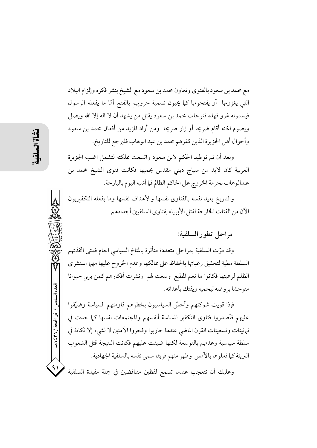مع محمد بن سعود بالفتوي وتعاون محمد بن سعود مع الشيخ بنشر فكره وإلزام البلاد التي يغزونها أو يفتحونها كما يحبون تسمية حروبهم بالفتح أمّا ما يفعله الرسول فيسمونه غزو فهذه فتوحات محمد بن سعود يقتل من يشهد أن لا اله إلا الله ويصلى ويصوم لكنه أقام ضريحا أو زار ضريحا ً ومن أراد المزيد من أفعال محمد بن سعود وأحوال أهل الجزيرة الذين كفرهم محمد بن عبد الوهاب فليرجع للتاريخ.

وبعد أن تم توطيد الحكم لابن سعود واتسعت مملكته لتشمل اغلب الجزيرة العربية كان لابد من سياج ديني مقدس يحميها فكانت فتوى الشيخ محمد بن عبدالوهاب بحرمة الخروج على الحاكم الظالم فيا أشبه اليوم بالبارحة.

والتاريخ يعيد نفسه بالفتاوى نفسها والأهداف نفسها وما يفعله التكفيريون الآن من الفئات الخارجة لقتل الأبرياء بفتاوي السلفيين أجدادهم.

## مراحل تطور السلفية:

وقد مرّت السلفية بمراحل متعددة متأثرة بالمناخ السياسي العام فمتى اتخذتهم السلطة مطية لتحقيق رغباتها بالحفاظ على ممالكها وعدم الخروج عليها مهما استشرى الظلم لرعيتها فكانوا لها نعم المطيع وسعت لهم ونشرت أفكارهم كمن يربي حيوانا متوحشا ير وضه ليحميه ويفتك بأعدائه.

فإذا قويت شوكتهم وأحسّ السياسيون بخطرهم قاومتهم السياسة وضيّقوا عليهم فأصدروا فتاوى التكفير للساسة أنفسهم والمجتمعات نفسها كما حدث فى ثمانينات وتسعينات القرن الماضي عندما حاربوا وفجروا الآمنين لا لشيء إلا نكاية في سلطة سياسية وعدتهم بالتوسعة لكنها ضيقت عليهم فكانت النتيجة قتل الشعوب البريئة كما فعلوها بالأمس وظهر منهم فريقا سمي نفسه بالسلفية الجهادية.

وعليك أن تتعجب عندما تسمع لفظين متناقضين في جملة مفيدة السلفية

العدد السادس / ذو الحجة / ٣٦ / ٤٣٩

 $\Lambda$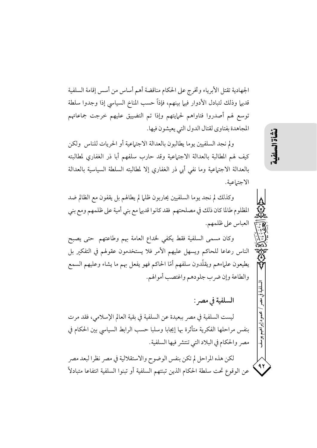الجهادية تقتل الأبرياء وتخرج على الحكام مناقضة أهم أساس من أسس إقامة السلفية قديها وذلك لتبادل الأدوار فيها بينهم، فإذاً حسب المناخ السياسي إذا وجدوا سلطة توسع لهم أصدروا فتاواهم لحمايتهم وإذا تم التضييق عليهم خرجت جماعاتهم المجاهدة بفتاوي لقتال الدول التي يعيشون فيها.

ولم نجد السلفيين يوما يطالبون بالعدالة الاجتهاعية أو الحريات للناس ولكن كيف لهم المطالبة بالعدالة الاجتهاعية وقد حارب سلفهم أبا ذر الغفاري لمطالبته بالعدالة الاجتياعية وما نفي أبي ذر الغفاري إلا لمطالبته السلطة السياسية بالعدالة الاجتماعية.

وكذلك لم نجد يوما السلفيين يحاربون ظلما لم يطالهم بل يقفون مع الظالم ضد المظلوم طالما كان ذلك في مصلحتهم فقد كانوا قديها مع بني أمية على ظلمهم ومع بني العباس على ظلمهم.

وكان مسمى السلفية فقط يكفى لخداع العامة بهم وطاعتهم حتى يصبح الناس رعاعا للحاكم ويسهل عليهم الأمر فلا يستخدمون عقولهم في التفكير بل يطيعون علىإءهم ويقلّدون سلفهم أمّا الحاكم فهو يفعل بهم ما يشاء وعليهم السمع والطاعة وإن ضرب جلودهم واغتصب أموالهم.

## السلفية في مصر :

ليست السلفية في مصر ببعيدة عن السلفية في بقية العالم الإسلامي، فقد مرت بنفس مراحلها الفكرية متأثرة بها إيجابا وسلبا حسب الرابط السياسي بين الحكام في مصر والحكام في البلاد التي تنتشر فيها السلفية.

لكن هذه المراحل لم تكن بنفس الوضوح والاستقلالية في مصر نظرا لبعد مصر عن الوقوع تحت سلطة الحكام الذين تبنتهم السلفية أو تبنوا السلفية انتفاعا متبادلاً 15

 $\mathbf{A}$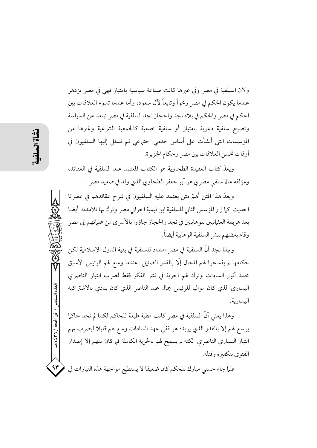ولان السلفية في مصر وفي غيرها كانت صناعة سياسية بامتياز فهي في مصر تزدهر عندما يكون الحكم في مصر رخواً وتابعاً لأل سعود، وأما عندما تسوء العلاقات بين الحكم في مصر والحكم في بلاد نجد والحجاز نجد السلفية في مصر تبتعد عن السياسة وتصبح سلفية دعوية بامتياز أو سلفية خدمية كالجمعية الشرعية وغبرها من المؤسسات التي أنشأت على أساس خدمي اجتهاعي ثم تسلل إليها السلفيون في أوقات تحسن العلاقات بين مصر وحكام الجزيرة.

ويعدّ كتاب العقيدة الطحاوية هو الكتاب المعتمد عند السلفية في العقائد، ومؤلفه عالم سلفي مصري هو أبو جعفر الطحاوي الذي ولد في صعيد مصر.

ويعدُّ هذا المتن أهمَّ متن يعتمد عليه السلفيون في شرحٍ عقائدهم في عصرنا الحديث كما زار المؤسس الثاني للسلفية ابن تيمية الحراني مصر وترك بها تلامذته أيضا بعد هزيمة العثمانيين للوهابيين في نجد والحجاز جاؤوا بالأسرى من علمائهم إلى مصر وقام بعضهم بنشر السلفية الوهابية أيضاً.

وبهذا نجد أنَّ السلفية في مصر امتداد للسلفية في بقية الدول الإسلامية لكن حكامها لم يفسحوا لهم المجال إلَّا بالقدر الضئيل عندما وسع لهم الرئيس الأسبق محمد أنور السادات وترك لهم الحرية في نشر الفكر فقط لضرب التيار الناصري اليساري الذي كان مواليا للرئيس جمال عبد الناصر الذي كان ينادى بالاشتراكية اليسارية.

وهذا يعني أنَّ السلفية في مصر كانت مطية طيعة للحاكم لكننا لم نجد حاكما يوسع لهم إلا بالقدر الذي يريده هو ففي عهد السادات وسع لهم قليلا ليضرب بهم التيار اليساري الناصري لكنه لم يسمح لهم بالحرية الكاملة فيا كان منهم إلا إصدار الفتوى يتكفيره وقتله.

 $4r$ فلما جاء حسني مبارك للحكم كان ضعيفا لا يستطيع مواجهة هذه التيارات في

العدد السادس / ذو الحجة / ٣٦٦ هـ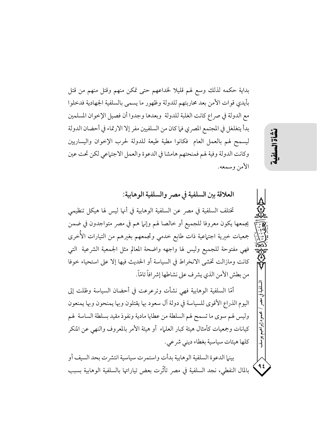بداية حكمه لذلك وسع لهم قليلا لخداعهم حتى تمكن منهم وقتل منهم من قتل بأيدي قوات الأمن بعد محاربتهم للدولة وظهور ما يسمى بالسلفية الجهادية فدخلوا مع الدولة في صراع كانت الغلبة للدولة وبعدها وجدوا أن فصيل الإخوان المسلمين بدأ يتغلغل في المجتمع المصري فيا كان من السلفيين مفر إلا الارتماء في أحضان الدولة ليسمح لهم بالعمل العام فكانوا مطية طيعة للدولة لحرب الإخوان واليساريين وكانت الدولة وفية لهم فمنحتهم هامشا في الدعوة والعمل الاجتماعي لكن تحت عين الأمن وسمعه.

العلاقة بين السلفية في مصر والسلفية الوهابية: تختلف السلفية في مصر عن السلفية الوهابية في أنها ليس لها هيكل تنظيمي يجمعها يكون معروفا للجميع أو خالصا لهم وإنها هم في مصر متواجدون في ضمن

جمعيات خيرية اجتهاعية ذات طابع خدمي وتجمعهم بغيرهم من التيارات الأُخرى فهي مفتوحة للجميع وليس لها واجهه واضحة المعالم مثل الجمعية الشرعية التبي كانت ومازالت تخشى الانخراط في السياسة أو الحديث فيها إلا على استحياء خوفا من بطش الأمن الذي يشر ف على نشاطها إشر افاً تامّاً.

أمَّا السلفية الوهابية فهي نشأت وترعرعت في أحضان السياسة وظلت إلى اليوم الذراع الأقوى للسياسة في دولة آل سعود بها يقتلون وبها يمنحون وبها يمنعون وليس لهم سوى ما تسمح لهم السلطة من عطايا مادية ونفوذ مقيد بسلطة الساسة لهم كيانات وجمعيات كأمثال هيئة كبار العلماء أو هيئة الأمر بالمعروف والنهي عن المنكر كلها هيئات سياسية بغطاء ديني شرعي.

بينيا الدعوة السلفية الوهابية بدأت واستمرت سياسية انتشرت بحد السيف أو بِالمالِ النفطي، نجد السلفية في مصر تأثَّرت بعض تياراتها بِالسلفيةِ الوهابيةِ بِسببِ

# نشأة الس

. إبر اهيم يوسف

۹٤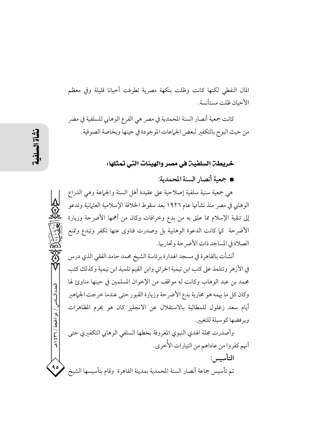المال النفطي لكنها كانت وظلت بنكهة مصرية تطرفت أحيانا قليلة وفي معظم الأحيان ظلت مستأنسة.

كانت جمعية أنصار السنة المحمدية في مصر هي الفرع الوهابي للسلفية في مصر من حيث البوح بالتكفير لبعض الجماعات الموجودة في حينها وبخاصة الصوفية.

#### خريطة السلفية في مصر والهيئات التي تمثلها:

■ جمعية أنصار السنة المحمدية:

هي جمعية سنية سلفية إصلاحية على عقيدة أهل السنة والجماعة وهي الذراع الوهابي في مصر منذ نشأتها عام ١٩٢٦ بعد سقوط الخلافة الإسلامية العثمانية وتدعو إلى تنقية الإسلام مما علق به من بدع وخرافات وكان من أهمها الأضرحة وزيارة الأضرحة كما كانت الدعوة الوهابية بل وصدرت فتاوى عنها تكفر وتبدع وتمنع الصلاة في المساجد ذات الأضر حة وتحاربها.

أنشأت بالقاهرة في مسجد الهدارة برئاسة الشيخ محمد حامد الفقي الذي درس في الأزهر وتتلمذ على كتب ابن تيمية الحراني وابن القيم تلميذ ابن تيمية وكذلك كتب محمد بن عبد الوهاب وكانت له مواقف من الإخوان المسلمين في حينها مناوئ لها وكان كل ما يهمه هو محاربة بدع الأضر حة وزيارة القبور حتى عندما خرجت الجماهير أيام سعد زغلول للمطالبة بالاستقلال عن الانجليز كان هو يحرم المظاهرات ويو فضها كوسيلة للتغيير.

وأصدرت مجلة الهدي النبوي المعروفة بخطها السلفى الوهابي التكفيري حتى أنهم كفروا من عاداهم من التيارات الأُخرى. التأسيس : تم تأسيس جماعة أنصار السنة المحمدية بمدينة القاهرة وقام بتأسيسها الشيخ

العدد السادس / ذو الحجة / ٣٦٦ هـ

 $\bullet$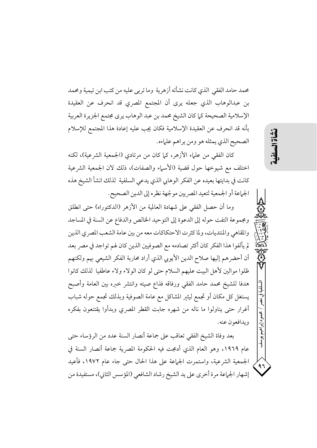محمد حامد الفقى الذي كانت نشأته أزهرية وما تربى عليه من كتب ابن تيمية ومحمد بن عبدالوهاب الذي جعله يرى أن المجتمع المصري قد انحرف عن العقيدة الإسلامية الصحيحة كما كان الشيخ محمد بن عبد الوهاب يرى مجتمع الجزيرة العربية بأنه قد انحرف عن العقيدة الإسلامية فكان يجب عليه إعادة هذا المجتمع للإسلام الصحيح الذي يمثله هو ومن يراهم علماءه.

كان الفقى من علماء الأزهر، كما كان من مرتادي (الجمعية الشرعية)، لكنه اختلف مع شيوخها حول قضية (الأسياء والصفات)، ذلك لان الجمعية الشرعية كانت في بدايتها بعيده عن الفكر الوهابي الذي يدعى السلفية لذلك انشأ الشيخ هذه الجماعة أو الجمعية لتعيد المصريين موجّهة نظره إلى الدين الصحيح.

وما أن حصل الفقى على شهادة العالمية من الأزهر (الدكتوراه) حتى انطلق ومجموعة التفت حوله إلى الدعوة إلى التوحيد الخالص والدفاع عن السنة في المساجد والمقاهي والمنتديات، ولما كثرت الاحتكاكات معه من بين عامة الشعب المصرى الذين لم يألفوا هذا الفكر كان أكثر تصادمه مع الصوفيين الذين كان لهم تواجد في مصر بعد أن أحضرهم إليها صلاح الدين الأيوبي الذي أراد محاربة الفكر الشيعي بهم ولكنهم ظلوا موالين لأهل البيت عليهم السلام حتى لو كان الولاء ولاء عاطفيا لذلك كانوا هدفا للشيخ محمد حامد الفقى ورفاقه فذاع صيته وانتشر خبره بين العامة وأصبح يستغل كل مكان أو تجمع ليثير المشاكل مع عامة الصوفية وبذلك تجمع حوله شباب أغرار حتى يناولوا ما ناله من شهره جابت القطر المصري وبدأوا يقتنعون بفكره ويدافعون عنه.

بعد وفاة الشيخ الفقي تعاقب على جماعة أنصار السنة عدد من الرؤساء حتى عام ١٩٦٩، وهو العام الذي أدمجت فيه الحكومة المصرية جماعة أنصار السنة في الجمعية الشرعية، واستمرت الجماعة على هذا الحال حتى جاء عام ١٩٧٢، فأعيد إشهار الجماعة مرة أخرى على يد الشيخ رشاد الشافعي (المؤسس الثاني)، مستفيدة من 川道

حمود إبراهيم يو.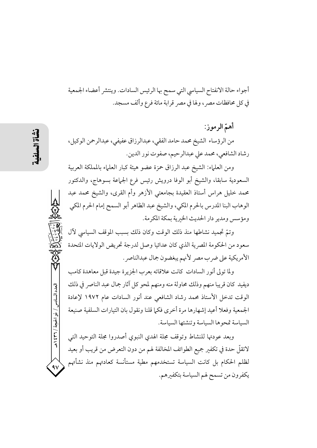أجواء حالة الانفتاح السياسي التي سمح بها الرئيس السادات. وينتشر أعضاء الجمعية في كل محافظات مصرٍ، ولها في مصرٍ قرابة مائة فرعٍ وألف مسجدٍ.

أهمّ الرموز: من الرؤساء الشيخ محمد حامد الفقي، عبدالرزاق عفيفي، عبدالرحمن الوكيل، رشاد الشافعي، محمد على عبدالرحيم، صفوت نور الدين.

ومن العلماء: الشيخ عبد الرزاق حمزة عضو هيئة كبار العلماء بالمملكة العربية السعودية سابقا، والشيخ أبو الوفا درويش رئيس فرع الجماعة بسوهاج، والدكتور محمد خليل هراس أستاذ العقيدة بجامعتي الأزهر وأم القرى، والشيخ محمد عبد الوهاب البنا المدرس بالحرم المكي، والشيخ عبد الظاهر أبو السمح إمام الحرم المكي ومؤسس ومدير دار الحديث الخبرية بمكة المكرمة.

وتمَّ تجميد نشاطها منذ ذلك الوقت وكان ذلك بسبب الموقف السياسي لآل سعود من الحكومة المصرية الذي كان عدائيا وصل لدرجة تحريض الولايات المتحدة الأمريكية على ضرب مصر لأنهم يبغضون جمال عبدالناصر .

ولما تولى أنور السادات كانت علاقاته بعرب الجزيرة جيدة قبل معاهدة كامب ديفيد كان قريبا منهم وذلك محاولة منه ومنهم لمحو كل آثار جمال عبد الناصر في ذلك الوقت تدخل الأستاذ محمد رشاد الشافعي عند أنور السادات عام ١٩٧٢ لإعادة الجمعية وفعلا أعيد إشهارها مرة أخرى فكما قلنا ونقول بان التيارات السلفية صنيعة السياسة تمحوها السياسة وتنشئها السياسة.

وبعد عودتها للنشاط وتوقف مجلة الهدى النبوى أصدروا مجلة التوحيد التبى لاتقلُّ حدة في تكفير جميع الطوائف المخالفة لهم من دون التعرض من قريب أو بعيد لظلم الحكام بل كانت السياسة تستخدمهم مطية مستأنسة كعادتهم منذ نشأتهم يكفرون من تسمح لهم السياسة بتكفيرهم.

العدد السادس / ذو الحجة / ٣٦٦ هـ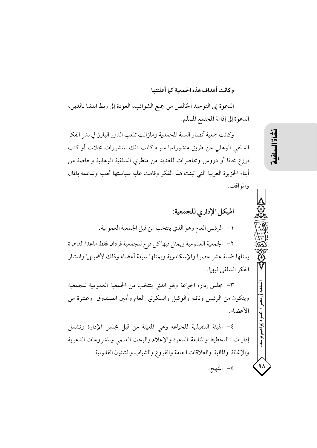وكانت أهداف هذه الجمعية كما أعلنتها:

الدعوة إلى التوحيد الخالص من جميع الشوائب، العودة إلى ربط الدنيا بالدين، الدعوة إلى إقامة المجتمع المسلم.

وكانت جمعية أنصار السنة المحمدية ومازالت تلعب الدور البارز في نشر الفكر السلفى الوهابي عن طريق منشوراتها سواء كانت تلك المنشورات مجلات أو كتب توزع مجانا أو دروس ومحاضرات للعديد من منظري السلفية الوهابية وخاصة من أبناء الجزيرة العربية التي تبنت هذا الفكر وقامت عليه سياستها تحميه وتدعمه بالمال والمواقف.

الهيكل الإداري للجمعية: ١- الرئيس العام وهو الذي ينتخب من قبل الجمعية العمومية. ٢ – الجمعية العمومية ويمثل فيها كل فرع للجمعية فردان فقط ماعدا القاهرة يمثلها خمسة عشر عضوا والإسكندرية ويمثلها سبعة أعضاء وذلك لأهميتهما وانتشار الفكر السلفى فيهما.

٣- مجلس إدارة الجماعة وهو الذي ينتخب من الجمعية العمومية للجمعية ويتكون من الرئيس ونائبه والوكيل والسكرتير العام وأمين الصندوق وعشرة من الأعضاء.

٤- الهيئة التنفيذية للجهاعة وهي المعينة من قبل مجلس الإدارة وتشمل إدارات : التخطيط والمتابعة الدعوة والإعلام والبحث العلمي والمشر وعات الدعوية والإغاثة والمالية والعلاقات العامة والفروع والشباب والشئون القانونية. ٥- المنهج.

نشأة الس

محمود إبراهيم يوسف

۹۸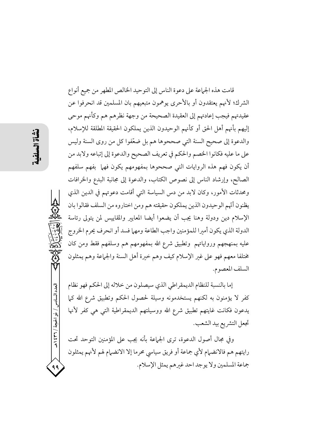العدد السادس / ذو الحجة / ٣٦ ٤ ٩ هـ

قامت هذه الجماعة على دعوة الناس إلى التوحيد الخالص المطهر من جميع أنواع الشرك؛ لأنهم يعتقدون أو بالأحرى يوهمون متبعيهم بان المسلمين قد انحرفوا عن عقيدتهم فيجب إعادتهم إلى العقيدة الصحيحة من وجهة نظرهم هم وكأنهم موحى إليهم بأنهم أهل الحق أو كأنهم الوحيدون الذين يملكون الحقيقة المطلقة للإسلام، والدعوة إلى صحيح السنة التي صححوها هم بل ضعّفوا كل من روى السنة وليس على ما عليه فكانوا الخصم والحكم في تعريف الصحيح والدعوة إلى إتباعه ولابد من أن يكون فهم هذه الروايات التي صححوها بمفهومهم يكون فهما بفهم سلفهم الصالح، وإرشاد الناس إلى نصوص الكتاب، والدعوة إلى مجانبة البدع والخرافات ومحدثات الأمور، وكان لابد من دس السياسة التي أقامت دعوتهم في الدين الذي يظنون أنّهم الوحيدون الذين يملكون حقيقته هم ومن اختاروه من السلف فقالوا بان الإسلام دين ودولة وهنا يجب أن يضعوا أيضا المعايير والمقاييس لمن يتولى رئاسة الدولة الذي يكون أمبرا للمؤمنين واجب الطاعة ومهما فسد أو انحرف يحرم الخروج عليه بمنهجهم ورواياتهم وتطبيق شرع الله بمفهومهم هم وسلفهم فقط ومن كان مختلفا معهم فهو على غير الإسلام كيف وهم خيرة أهل السنة والجماعة وهم يمثلون السلف المعصوم.

إما بالنسبة للنظام الديمقراطي الذي سيصلون من خلاله إلى الحكم فهو نظام كفر لا يؤمنون به لكنهم يستخدمونه وسيلة لحصول الحكم وتطبيق شرع الله كما يدعون فكانت غايتهم تطبيق شرع الله ووسيلتهم الديمقراطية التي هي كفر لأنها تجعل التشريع بيد الشعب.

وفي مجال أصول الدعوة، ترى الجماعة بأنه يجب على المؤمنين التوحد تحت رايتهم هم فالانضهام لأي جماعة أو فريق سياسي محرما إلا الانضهام لهم لأنهم يمثلون جماعة المسلمين ولا يوجد احد غيرهم يمثل الإسلام.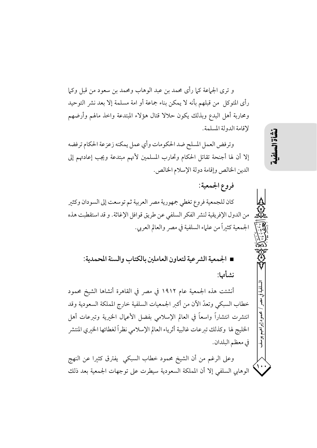و ترى الجماعة كما رأى محمد بن عبد الوهاب ومحمد بن سعود من قبل وكما رأى المتوكل من قبلهم بأنه لا يمكن بناء جماعة أو امة مسلمة إلا بعد نشر التوحيد ومحاربة أهل البدع وبذلك يكون حلالا قتال هؤلاء المبتدعة واخذ مالهم وأرضهم لإقامة الدولة المسلمة.

وترفض العمل المسلح ضد الحكومات وأي عمل يمكنه زعزعة الحكام ترفضه إلا أن لها أجنحة تقاتل الحكام وتحارب المسلمين لأنهم مبتدعة ويجب إعادتهم إلى الدين الخالص وإقامة دولة الإسلام الخالص.

كان للجمعية فروع تغطي جمهورية مصر العربية ثم توسعت إلى السودان وكثير من الدول الإفريقية لنشر الفكر السلفي عن طريق قوافل الإغاثة. و قد استقطبت هذه الجمعية كثيراً من علماء السلفية في مصر والعالم العربي.

فروع الجمعية:

■ الجمعية الشرعية لتعاون العاملين بالكتاب والسنة المحمدية: نشأتها:

أنشئت هذه الجمعية عام ١٩١٢ في مصر في القاهرة أنشاها الشيخ محمود خطاب السبكي وتعدُّ الأن من أكبر الجمعيات السلفية خارج المملكة السعودية وقد انتشرت انتشاراً واسعاً في العالم الإسلامي بفضل الأعمال الخبرية وتىرعات أهل الخليج لها وكذلك تبرعات غالبية أثرياء العالم الإسلامي نظراً لغطائها الخيري المنتشر في معظم البلدان.

وعلى الرغم من أن الشيخ محمود خطاب السبكي يفترق كثيرا عن النهج الوهابي السلفي إلا أن المملكة السعودية سيطرت على توجهات الجمعية بعد ذلك 川道益

إبراهيم يوسف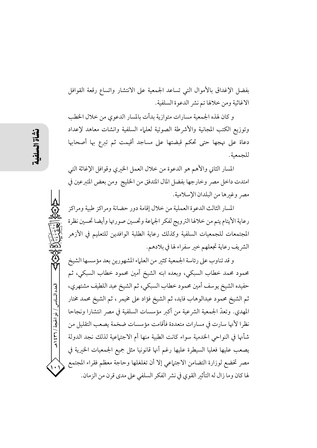بفضل الإغداق بالأموال التي تساعد الجمعية على الانتشار واتساع رقعة القوافل الاغاثية ومن خلالها تم نشر الدعوة السلفية.

و كان لهذه الجمعية مسارات متوازية بدأت بالمسار الدعوى من خلال الخطب وتوزيع الكتب المجانية والأشرطة الصوتية لعلماء السلفية وانشات معاهد لإعداد دعاة على نهجها حتى تحكم قبضتها على مساجد أقيمت ثم تبرع بها أصحابها للحمعية.

المسار الثاني والأهم هو الدعوة من خلال العمل الخيرى وقوافل الإغاثة التبي امتدت داخل مصر وخارجها بفضل المال المتدفق من الخليج ومن بعض المتبرعين في مصر وغيرها من البلدان الإسلامية.

المسار الثالث الدعوة العملية من خلال إقامة دور حضانة ومراكز طبية ومراكز رعاية الأيتام يتم من خلالها الترويج لفكر الجماعة وتحسين صورتها وأيضا تحسين نظرة المجتمعات للجمعيات السلفية وكذلك رعاية الطلبة الوافدين للتعليم في الأزهر الشريف رعاية تجعلهم خبر سفراء لها في بلادهم.

و قد تناوب على رئاسة الجمعية كثير من العلماء المشهورين بعد مؤسسها الشيخ محمود محمد خطاب السبكي، وبعده ابنه الشيخ أمين محمود خطاب السبكي، ثم حفيده الشيخ يوسف أمين محمود خطاب السبكي، ثم الشيخ عبد اللطيف مشتهري، ثم الشيخ محمود عبدالوهاب فايد، ثم الشيخ فؤاد على مخيمر ، ثم الشيخ محمد مختار المهدى. وتعدُّ الجمعية الشرعية من أكبر مؤسسات السلفية في مصر انتشارا ونجاحا نظرا لأنها سارت في مسارات متعددة فأقامت مؤسسات ضخمة يصعب التقليل من شأنها في النواحي الحخدمية سواء كانت الطبية منها أم الاجتماعية لذلك نجد الدولة يصعب عليها فعليا السيطرة عليها رغم أنها قانونيا مثل جميع الجمعيات الخيرية في مصر تخضع لوزارة التضامن الاجتهاعي إلا أن تغلغلها وحاجة معظم فقراء المجتمع لها كان وما زال له التأثير القوى في نشر الفكر السلفى على مدى قرن من الزمان.

العدد السادس / ذو الحجة / ٣٦٦ هـ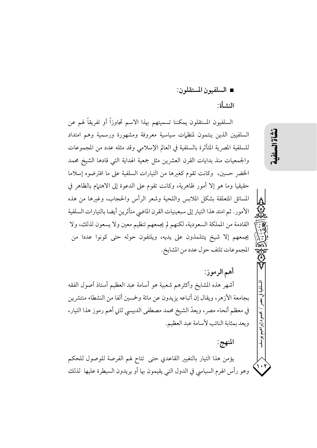■ السلفيون المستقلون:

#### النشأة:

السلفيون المستقلون يمكننا تسميتهم بهذا الاسم تجاوزاً أو تفريقاً لهم عن السلفيين الذين ينتمون لمنظمات سياسية معروفة ومشهورة ورسمية وهم امتداد للسلفية المصرية المتأثرة بالسلفية في العالم الإسلامي وقد مثله عدد من المجموعات والجمعيات منذ بدايات القرن العشرين مثل جمعية الهداية التبي قادها الشيخ محمد الخضر حسين، وكانت تقوم كغيرها من التيارات السلفية على ما افترضوه إسلاما حقيقيا وما هو إلا أمور ظاهرية، وكانت تقوم على الدعوة إلى الاهتمام بالظاهر في المسائل المتعلقة بشكل الملابس واللحية وشعر الرأس والحجاب، وغيرها من هذه الأمور. ثم امتد هذا التيار إلى سبعينيات القرن الماضي متأثرين أيضا بالتيارات السلفية القادمة من المملكة السعودية، لكنهم لم يجمعهم تنظيم معين ولا يسعون لذلك، ولا يجمعهم إلا شيخ يتتلمذون على يديه، ويلتفون حوله حتى كونوا عددا من المجموعات تلتف حول عدد من المشايخ.

أهم الرموز:

أشهر هذه المشايخ وأكثرهم شعبية هو أسامة عبد العظيم أستاذ أصول الفقه بجامعة الأزهر، ويقال إن أتباعه يزيدون عن مائة وخمسين ألفا من النشطاء منتشرين في معظم أنحاء مصر ، ويعدُّ الشيخ محمد مصطفى الدبيسي ثاني أهم رموز هذا التيار، ويعد بمثابة النائب لأسامة عبد العظيم.

المنهج:

يؤمن هذا التيار بالتغيير القاعدي حتى تتاح لهم الفرصة للوصول للحكم وهو رأس الهرم السياسي في الدول التي يقيمون بها أو يريدون السيطرة عليها لذلك نشأة المه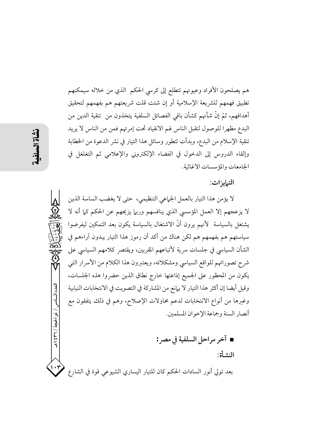هم يصلحون الأفراد وعيونهم تتطلع إلى كرسي الحكم الذي من خلاله سيمكنهم تطبيق فهمهم للشريعة الإسلامية أو إن شئت قلت شريعتهم هم بفهمهم لتحقيق أهدافهم، ثمّ إنّ شأنهم كشأن باقي الفصائل السلفية يتخذون من تنقية الدين من البدع مظهرا للوصول لتقبل الناس لهم الانقياد تحت إمرتهم فمن من الناس لا يريد تنقية الإسلام من البدع، وبدأت تتطور وسائل هذا التيار في نشر الدعوة من الخطابة وإلقاء الدروس إلى الدخول في الفضاء الإلكتروني والإعلامي ثم التغلغل في الجامعات والمؤسسات الاغاثية.

التبايز ات:

لا يؤمن هذا التيار بالعمل الجماعي التنظيمي، حتى لا يغضب الساسة الذين لا يزعجهم إلا العمل المؤسسي الذي ينافسهم وربيا يزيحهم عن الحكم كما أنه لا يشتغل بالسياسة ۖ لأنهم يرون أنَّ الاشتغال بالسياسة يكون بعد التمكين ليفرضوا سياستهم هم بفهمهم هم لكن هناك من أكد أن رموز هذا التيار يبدون آراءهم في الشأن السياسي في جلسات سرية لأتباعهم المقربين، ويقتصر كلامهم السياسي على شرح تصوراتهم للواقع السياسي ومشكلاته، ويعتبرون هذا الكلام من الأسرار التبي يكون من المحظور على الجميع إذاعتها خارج نطاق الذين حضروا هذه الجلسات، وقيل أيضا إن أكثر هذا التيار لا يهانع من المشاركة في التصويت في الانتخابات النيابية وغيرها من أنواع الانتخابات لدعم محاولات الإصلاح، وهم في ذلك يتفقون مع أنصار السنة وجماعة الإخوان المسلمين.

■ آخر مراحل السلفية في مصر : النشأة: بعد تولي أنور السادات الحكم كان للتيار اليساري الشيوعي قوة في الشارع

العدد السادس / ذو الحجة / ٣٦ / ٤٣٩

 $\cdot$ r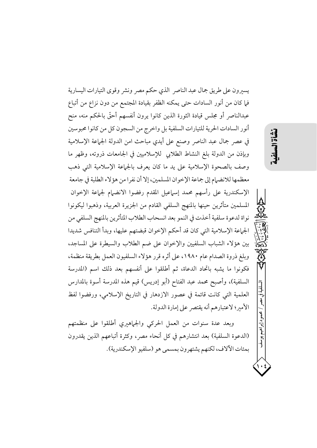يسيرون على طريق جمال عبد الناصر الذي حكم مصر ونشر وقوى التيارات اليسارية فيا كان من أنور السادات حتى يمكنه الظفر بقيادة المجتمع من دون نزاع من أتباع عبدالناصر أو مجلس قيادة الثورة الذين كانوا يرون أنفسهم أحقَّ بالحكم منه، منح أنور السادات الحرية للتيارات السلفية بل واخرج من السجون كل من كانوا محبوسين في عصر جمال عبد الناصر وصنع على أيدي مباحث امن الدولة الجماعة الإسلامية وبإذن من الدولة بلغ النشاط الطلابي للإسلاميين في الجامعات ذروته، وظهر ما وصف بالصحوة الإسلامية على يد ما كان يعرف بالجماعة الإسلامية التي ذهب معظمها للانضبام إلى جماعة الإخوان المسلمين، إلا أن نفرا من هؤلاء الطلبة في جامعة الإسكندرية على رأسهم محمد إسهاعيل المقدم رفضوا الانضهام لجماعة الإخوان المسلمين متأثرين حينها بالمنهج السلفي القادم من الجزيرة العربية، وذهبوا ليكونوا نواة لدعوة سلفية أخذت في النمو بعد انسحاب الطلاب المتأثرين بالمنهج السلفى من الجماعة الإسلامية التي كان قد أحكم الإخوان قبضتهم عليها، وبدأ التنافس شديدا بين هؤلاء الشباب السلفيين والإخوان على ضم الطلاب والسيطرة على المساجد، وبلغ ذروة الصدام عام ١٩٨٠، على أثره قرر هؤلاء السلفيون العمل بطريقة منظمة، فكونوا ما يشبه باتحاد الدعاة، ثم أطلقوا على أنفسهم بعد ذلك اسم (المدرسة السلفية)، وأصبح محمد عبد الفتاح (أبو إدريس) قيم هذه المدرسة أسوة بالمدارس العلمية التي كانت قائمة في عصور الازدهار في التاريخ الإسلامي، ورفضوا لفظ الأمير؛ لاعتبارهم أنه يقتصر على إمارة الدولة.

وبعد عدة سنوات من العمل الحركي والجماهيري أطلقوا على منظمتهم (الدعوة السلفية) بعد انتشارهم في كل أنحاء مصر، وكثرة أتباعهم الذين يقدرون بمئات الألاف، لكنهم يشتهرون بمسمى هو (سلفيو الإسكندرية). لسلفية في مصر

/ محمود إبراهيم يوسف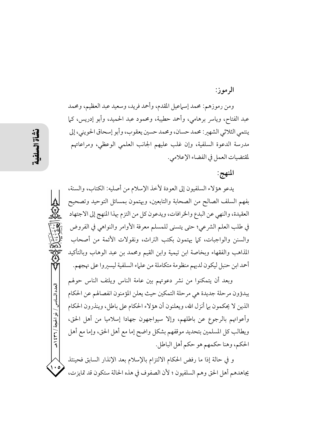الرموز:

ومن رموزهم: محمد إسماعيل المقدم، وأحمد فريد، وسعيد عبد العظيم، ومحمد عبد الفتاح، وياسر برهامي، وأحمد حطيبة، ومحمود عبد الحميد، وأبو إدريس، كما ينتمي الثلاثي الشهير: محمد حسان، ومحمد حسين يعقوب، وأبو إسحاق الحويني، إلى مدرسة الدعوة السلفية، وإن غلب عليهم الجانب العلمي الوعظي، ومراعاتهم لمقتضيات العمل في الفضاء الإعلامي.

## المنهج:

يدعو هؤلاء السلفيون إلى العودة لأخذ الإسلام من أصليه: الكتاب، والسنة، بفهم السلف الصالح من الصحابة والتابعين، ويهتمون بمسائل التوحيد وتصحيح العقيدة، والنهى عن البدع والخرافات، ويدعون كل من التزم بهذا المنهج إلى الاجتهاد في طلب العلم الشرعي؛ حتى يتسنى للمسلم معرفة الأوامر والنواهي في الفروض والسنن والواجبات، كما يهتمون بكتب التراث، ونقولات الأئمة من أصحاب المذاهب والفقهاء وبخاصة ابن تيمية وابن القيم ومحمد بن عبد الوهاب وبالتأكيد أحمد ابن حنبل ليكون لديهم منظومة متكاملة من علماء السلفية ليسيروا على نهجهم.

وبعد أن يتمكنوا من نشر دعوتهم بين عامة الناس ويلتف الناس حولهم يبدؤون مرحلة جديدة هي مرحلة التمكين حيث يعلن المؤمنون انفصالهم عن الحكام الذين لا يحكمون بها أنزل الله، ويعلنون أن هؤلاء الحكام على باطل، وينذرون الحكام وأعوانهم بالرجوع عن باطلهم، وإلا سيواجهون جهادا إسلاميا من أهل الحق، ويطالب كل المسلمين بتحديد موقفهم بشكل واضح إما مع أهل الحق، وإما مع أهل الحكم، وهنا حكمهم هو حكم أهل الباطل.

و في حالة إذا ما رفض الحكام الالتزام بالإسلام بعد الإنذار السابق فحينئذ يجاهدهم أهل الحق وهم السلفيون ؛ لأن الصفوف في هذه الحالة ستكون قد تمايزت،

العدد السادس / ذو الحجة / ٣٦٦ هـ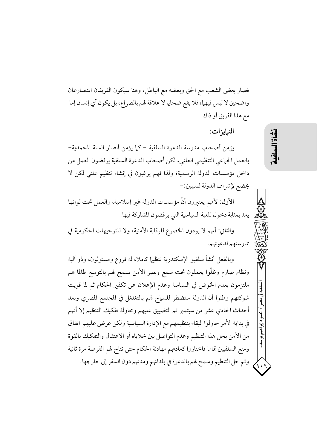فصار بعض الشعب مع الحق وبعضه مع الباطل، وهنا سيكون الفريقان المتصارعان واضحين لا لبس فيهما، فلا يقع ضحايا لا علاقة لهم بالصراع، بل يكون أي إنسان إما مع هذا الفريق أو ذاك.

التبايزات:

يؤمن أصحاب مدرسة الدعوة السلفية – كما يؤمن أنصار السنة المحمدية– بالعمل الجماعي التنظيمي العلني، لكن أصحاب الدعوة السلفية يرفضون العمل من داخل مؤسسات الدولة الرسمية؛ ولذا فهم يرغبون في إنشاء تنظيم علني لكن لا يخضع لإشراف الدولة لسببين:-

الأول: لأنهم يعتبرون أنَّ مؤسسات الدولة غبر إسلامية، والعمل تحت لوائها يعد بمثابة دخول للعبة السياسية التي يرفضون المشاركة فيها.

والثاني: أنهم لا يودون الخضوع للرقابة الأمنية، ولا للتوجيهات الحكومية في ممارستهم لدعوتهم.

وبالفعل أنشأ سلفيو الإسكندرية تنظيها كاملا، له فروع ومسئولون، وذو آلية ونظام صارم وظلُّوا يعملون تحت سمع وبصر الأمن يسمح لهم بالتوسع طالما هم ملتزمون بعدم الخوض في السياسة وعدم الإعلان عن تكفير الحكام ثم لما قويت شوكتهم وظنوا أن الدولة ستضطر للسهاح لهم بالتغلغل في المجتمع المصري وبعد أحداث الحادي عشر من سبتمبر تم التضييق عليهم ومحاولة تفكيك التنظيم إلا أنهم في بداية الأمر حاولوا البقاء بتنظيمهم مع الإدارة السياسية ولكن عرض عليهم اتفاق من الأمن بحل هذا التنظيم وعدم التواصل بين خلاياه أو الاعتقال والتفكيك بالقوة ومنع السلفيين تماما فاختاروا كعادتهم مهادنة الحكام حتى تتاح لهم الفرصة مرة ثانية وتم حل التنظيم وسمح لهم بالدعوة في بلدانهم ومدنهم دون السفر إلى خارجها. 道益

إبراهيم يوسف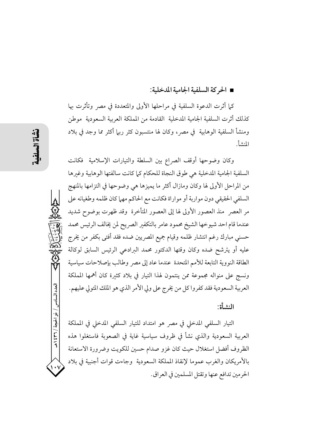#### ■ الحر كة السلفية الحامية المدخلية:

كما أثرت الدعوة السلفية في مراحلها الأولى والمتعددة في مصر وتأثرت بها كذلك أثرت السلفية الجامية المدخلية القادمة من المملكة العربية السعودية موطن ومنشأ السلفية الوهابية في مصر، وكان لها منتسبون كثر ربها أكثر مما وجد في بلاد المنشأ.

وكان وضوحها أوقف الصراع بين السلطة والتيارات الإسلامية فكانت السلفية الجامية المدخلية هي طوق النجاة للحكام كما كانت سالفتها الوهابية وغبرها من المراحل الأولى لها وكان ومازال أكثر ما يميزها هي وضوحها في التزامها بالمنهج السلفي الحقيقي دون مواربة أو مواراة فكانت مع الحاكم مهما كان ظلمه وطغيانه على مر العصر ً منذ العصور الأولى لها إلى العصور المتأخرة ۖ وقد ظهرت بوضوح شديد عندما قام احد شيو خها الشيخ محمود عامر بالتكفير الصريح لمن يخالف الرئيس محمد حسني مبارك رغم انتشار ظلمه وقيام جميع المصريين ضده فقد أفتى بكفر من يخرج عليه أو يترشح ضده وكان وقتها الدكتور محمد البرادعى الرئيس السابق لوكالة الطاقة النووية التابعة للأمم المتحدة عندما عاد إلى مصر وطالب بإصلاحات سياسية ونسج على منواله مجموعة ممن ينتمون لهذا التيار في بلاد كثيرة كان أهمها المملكة العربية السعودية فقد كفروا كل من يخرج على ولي الأمر الذي هو الملك المتولي عليهم.

المشرأة

التيار السلفى المدخلي في مصر هو امتداد للتيار السلفى المدخلي في المملكة العربية السعودية والذي نشأ في ظروف سياسية غاية في الصعوبة فاستغلوا هذه الظروف أفضل استغلال حيث كان غزو صدام حسين للكويت وضرورة الاستعانة بالأمريكان والغرب عموما لإنقاذ المملكة السعودية وجاءت قوات أجنبية فى بلاد الحرمين تدافع عنها وتقتل المسلمين في العراق.

العدد السادس

/ ذو الحجة / ٢٦١؛ ١ هـ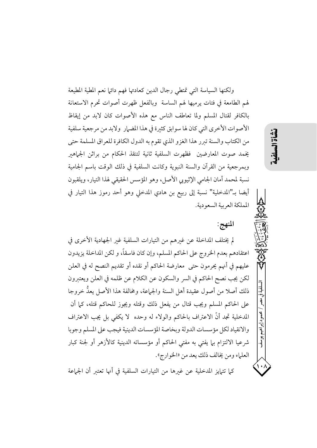ولكنها السياسة التي تمتطى رجال الدين كعادتها فهم دائها نعم المطية المطيعة لهم الطامعة في فتات يرميها لهم الساسة ۖ وبالفعل ظهرت أصوات تحرم الاستعانة بالكافر لقتال المسلم ولما تعاطف الناس مع هذه الأصوات كان لابد من إيقاظ الأصوات الأخرى التي كان لها سوابق كثيرة في هذا المضيار ولابد من مرجعية سلفية من الكتاب والسنة تبرر هذا الغزو الذي تقوم به الدول الكافرة للعراق المسلمة حتى يخمد صوت المعارضين فظهرت السلفية ثانية لتنقذ الحكام من براثن الجماهير وبمرجعية من القرآن والسنة النبوية وكانت السلفية في ذلك الوقت باسم الجامية نسبة لمحمد أمان الجامي الإثيوبي الأصل، وهو المؤسس الحقيقي لهذا التيار، ويلقبون أيضا بـ"المدخلية" نسبة إلى ربيع بن هادي المدخلي وهو أحد رموز هذا التيار في المملكة العربية السعودية.

المنهج:

نشأة الس

سلفية

d

حمود إبراهيم يوسف

لم يختلف المداخلة عن غيرهم من التيارات السلفية غير الجهادية الأخرى في اعتقادهم بعدم الخروج على الحاكم المسلم، وإن كان فاسقاً، و لكن المداخلة يزيدون عليهم في أنهم يحرمون حتى ً معارضة الحاكم أو نقده أو تقديم النصح له في العلن لكن يجب نصح الحاكم في السر والسكون عن الكلام عن ظلمه في العلن ويعتبرون ذلك أصلا من أصول عقيدة أهل السنة والجماعة، ومخالفة هذا الأصل يعدُّ خروجا على الحاكم المسلم ويجب قتال من يفعل ذلك وقتله ويجوز للحاكم قتله، كما أن المدخلية تجد أنَّ الاعتراف بالحاكم والولاء له وحده ۖ لا يكفي بل يجب الاعتراف والانقياد لكل مؤسسات الدولة وبخاصة المؤسسات الدينية فيجب على المسلم وجوبا شرعيا الالتزام بها يفتي به مفتي الحاكم أو مؤسساته الدينية كالأزهر أو لجنة كبار العلماء ومن يخالف ذلك يعد من «الخوارج».

كما تتهايز المدخلية عن غيرها من التيارات السلفية في أنها تعتبر أن الجماعة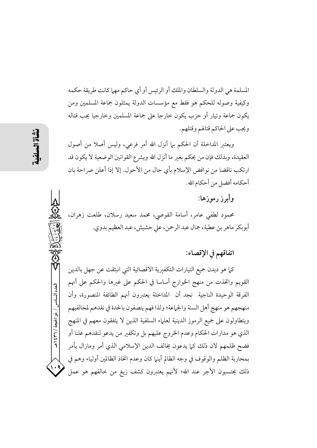المسلمة هي الدولة والسلطان والملك أو الرئيس أو أي حاكم مهما كانت طريقة حكمه وكيفية وصوله للحكم هو فقط مع مؤسسات الدولة يمثلون جماعة المسلمين ومن يكون جماعة وتيار أو حزب يكون خارجا على جماعة المسلمين وخارجيا يجب قتاله ويجب على الحاكم قتالهم وقتلهم.

ويعتبر المداخلة أن الحكم بيا أنزل الله أمر فرعي، وليس أصلا من أصول العقيدة، وبذلك فإن من يحكم بغير ما أنزل الله ويشرع القوانين الوضعية لا يكون قد ارتكب ناقضا من نواقض الإسلام بأي حال من الأحول. إلا إذا أعلن صراحة بان أحكامه أفضل من أحكام الله.

# وأبرز رموزها:

محمود لطفي عامر، أسامة القوصي، محمد سعيد رسلان، طلعت زهران، أبوبكر ماهر بن عطية، جمال عبد الرحمن، على حشيش، عبد العظيم بدوي.

### اتفاقهم في الإقصاء:

كما هو ديدن جميع التيارات التكفيرية الاقصائية التي انبثقت عن جهل بالدين القويم واتخذت من منهج الخوارج أساسا في الحكم على غيرها والحكم على أنهم الفرقة الوحيدة الناجية نجد أن المداخلة يعتبرون أنهم الطائفة المنصورة، وأن منهجهم هو منهج أهل السنة والجماعة؛ ولذا فهم يتصفون بالحدة في نقدهم لمخالفيهم ويتطاولون على جميع الرموز الدينية لعلماء السلفية الذين لا يتفقون معهم في المنهج الذي هو مدارات الحكام وعدم الخروج عليهم بل وتكفير من يدعو لنقدهم علنا أو فضح ظلمهم لان ذلك كما يدعون يخالف الدين الإسلامي الذي أمر ومازال يأمر بمحاربة الظلم والوقوف في وجه الظالم أينها كان وعدم اتخاذ الظالمين أولياء وهم في ذلك يحتسبون الأجر عند الله؛ لأنهم يعتبرون كشف زيغ من خالفهم هو عمل

العدد السادس / ذو الحجة / ٣٦٦ هـ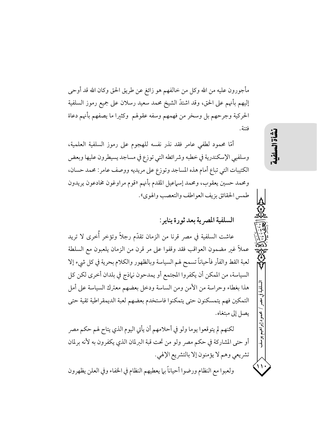مأجورون عليه من الله وكل من خالفهم هو زائغ عن طريق الحق وكان الله قد أوحى إليهم بأنهم على الحق، وقد اشتدَّ الشيخ محمد سعيد رسلان على جميع رموز السلفية الحركية وجرحهم بل وسخر من فهمهم وسفه عقولهم وكثيرا ما يصفهم بأنهم دعاة فتنة.

أمَّا محمود لطفي عامر فقد نذر نفسه للهجوم على رموز السلفية العلمية، وسلفيي الإسكندرية في خطبه وشرائطه التي توزع في مساجد يسيطرون عليها وبعض الكتيبات التي تباع أمام هذه المساجد وتوزع على مريديه ووصف عامر: محمد حسان، ومحمد حسين يعقوب، ومحمد إسماعيل المقدم بأنهم «قوم مراوغون مخادعون يريدون طمس الحقائق بزيف العو اطف والتعصب والهوي».

السلفية المصرية بعد ثورة يناير:

عاشت السلفية في مصر قرنا من الزمان تقدّم رجلاً وتؤخر أُخرى لا تريد عملاً غير مضمون العواقب فقد وقفوا على مر قرن من الزمان يلعبون مع السلطة لعبة القط والفأر فأحياناً تسمح لهم السياسة وبالظهور والكلام بحرية في كل شيء إلا السياسة، من الممكن أن يكفروا المجتمع أو يمدحون نهاذج في بلدان أخرى لكن كل هذا بغطاء وحراسة من الأمن ومن الساسة ودخل بعضهم معترك السياسة على أمل التمكين فهم يتمسكنون حتى يتمكنوا فاستخدم بعضهم لعبة الديمقراطية تقية حتى يصل إلى مبتغاه.

لكنهم لم يتوقعوا يوما ولو في أحلامهم أن يأتي اليوم الذي يتاح لهم حكم مصر أو حتى المشاركة في حكم مصر ولو من تحت قبة البرلمان الذي يكفرون به لأنه برلمان تشريعي وهم لا يؤمنون إلا بالتشريع الإلهي. ولعبوا مع النظام ورضوا أحياناً بها يعطيهم النظام في الخفاء وفي العلن يظهرون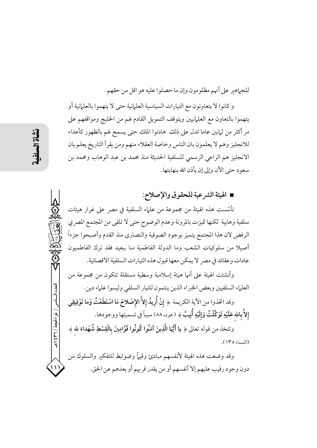للجماهير على أنهم مظلومون وإن ما حصلوا عليه هو اقل من حقهم.

و كانوا لا يتعاونون مع التيارات السياسية العلمانية حتى لا يتهموا بالعلمانية أو يتهموا بالتعاون مع العلمانيين ويتوقف التمويل القادم لهم من الخليج ومواقفهم على مر أكثر من ثمانين عاما تدل على ذلك هادنوا الملك حتى يسمح لهم بالظهور كأعداء للانجليز وهم لا يعلمون بان الناس وخاصة العقلاء منهم ومن يقرأ التاريخ يعلم بان الانجليز هم الراعي الرسمي للسلفية الحديثة منذ محمد بن عبد الوهاب ومحمد بن سعود حتى الآن وإلى إن يأذن الله بنهايتها.

# ■ الهيئة الشرعية للحقوق والإصلاح:

تأسَّست هذه الهيئة من مجموعة من علماء السلفية في مصر على غرار هيئات سلفية وهابية لكنها تميزت بالمرونة وعدم الوضوح حتى لا تلقى من المجتمع المصري الرفض لان هذا المجتمع يتميز بوجود الصوفية والنصاري منذ القدم وأصبحوا جزءاً أصيلاً من سلوكيات الشعب وما الدولة الفاطمية منا ببعيد فقد ترك الفاطميون عادات وعقائد في مصر لا يمكن معها قبول هذه التبارات السلفية الاقصائية.

وأنشئت الهيئة على أنها هيئة إسلامية وسطية مستقلة تتكون من مجموعة من العلماء السلفيين وبعض الخبراء الذين ينتمون للتيار السلفي وليسوا علماء دين.

وقد اتخذوا من الآية الكريمة ﴿ إِنْ أُرِيدُ إِلاَّ الإِصْلاحَ مَا اسْتَطَعْتُ وَما تَوْفِيقِي إلاَّ بالله عَلَيْهِ تَوَكَّلْتُ وَإِلَيْهِ أُنِيبُ﴾ (مود، ٨٨) سبباً في تسميتها ووجودها.

وتتخذ من قوله تعالى ﴿ يا أَيُّهَا الَّذِينَ آمَنُوا كُونُوا قَوَّامِينَ بِالْقِسْطِ شُهَداءَ لله ﴾ (النساء ١٣٥).

وقد وضعت هذه الهيئة لأنفسهم مبادئ وقيهأ وضوابط للتفكير والسلوك من دون وجود رقيب عليهم إلا أنفسهم أو من يقدر قربهم أو بعدهم عن الحق.

العدد السادس / ذو الحجة / ٣٦٦ / هـ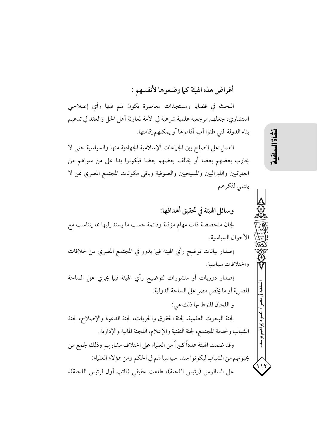أغراض هذه الهيئة كما وضعوها لأنفسهم :

البحث في قضايا ومستجدات معاصرة يكون لهم فيها رأي إصلاحي استشاري، جعلهم مرجعية علمية شرعية في الأمة لمعاونة أهل الحل والعقد في تدعيم بناء الدولة التي ظنوا أنهم أقاموها أو يمكنهم إقامتها.

العمل على الصلح بين الجماعات الإسلامية الجهادية منها والسياسية حتى لا يحارب بعضهم بعضا أو يخالف بعضهم بعضا فيكونوا يدا على من سواهم من العلمانيين واللبراليين والمسيحيين والصوفية وباقى مكونات المجتمع المصرى ممن لا ينتمي لفكرهم

وسائل الهيئة في تحقيق أهدافها: لجان متخصصة ذات مهام مؤقتة ودائمة حسب ما يسند إليها مما يتناسب مع الأحوال السياسية. إصدار بيانات توضح رأي الهيئة فيها يدور في المجتمع المصري من خلافات

إصدار دوريات أو منشورات لتوضيح رأي الهيئة فيها يجري على الساحة المصرية أو ما يخص مصر على الساحة الدولية.

و اللجان المنوط بها ذلك هي: لجنة البحوث العلمية، لجنة الحقوق والحريات، لجنة الدعوة والإصلاح، لجنة الشباب وخدمة المجتمع، لجنة التقنية والإعلام، اللجنة المالية والإدارية. وقد ضمت الهيئة عدداً كبيراً من العلماء على اختلاف مشاربهم وذلك لجمع من يحبونهم من الشباب ليكونوا سندا سياسيا لهم في الحكم ومن هؤلاء العلماء: على السالوس (رئيس اللجنة)، طلعت عفيفي (نائب أول لرئيس اللجنة)،

نشأة المه

واختلافات سياسية.

إبراهيم يوسف

۱۱۱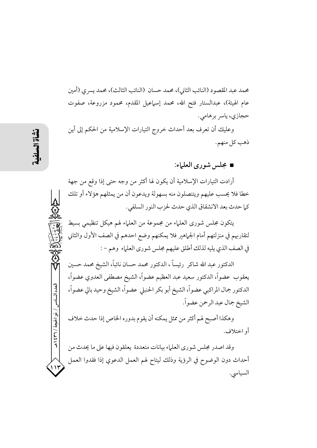محمد عبد المقصود (النائب الثاني)، محمد حسان (النائب الثالث)، محمد يسر ي (أمين عام الهيئة)، عبدالستار فتح الله، محمد إسماعيل المقدم، محمود مزروعة، صفوت حجازي، ياسر برهامي.

وعليك أن تعرف بعد أحداث خروج التيارات الإسلامية من الحكم إلى أين ذهب كل منهم.

■ مجلس شوري العلياء:

أرادت التيارات الإسلامية أن يكون لها أكثر من وجه حتى إذا وقع من جهة خطا فلا يحسب عليهم ويتنصلون منه بسهولة ويدعون أن من يمثلهم هؤلاء أو تلك كما حدث بعد الانشقاق الذي حدث لحزب النور السلفي.

يتكون مجلس شوري العلماء من مجموعة من العلماء لهم هيكل تنظيمي بسيط لتقاربهم في منزلتهم أمام الجماهير فلا يمكنهم وضع احدهم في الصف الأول والثاني في الصف الذي يليه لذلك أطلق عليهم مجلس شوري العلياء وهم – :

الدكتور عبد الله شاكر ۖ رئيساً ، الدكتور محمد حسان نائباً، الشيخ محمد حسين يعقوب عضواً، الدكتور سعيد عبد العظيم عضواً، الشيخ مصطفى العدوي عضواً، الدكتور جمال المراكبي عضواً، الشيخ أبو بكر الحنبلي عضواً، الشيخ وحيد بالي عضواً، الشيخ جمال عبد الرحمن عضواً.

وهكذا أصبح لهم أكثر من ممثل يمكنه أن يقوم بدوره الخاص إذا حدث خلاف أو اختلاف.

وقد اصدر مجلس شوري العلياء بيانات متعددة يعلقون فيها على ما يحدث من أحداث دون الوضوح في الرؤية وذلك ليتاح لهم العمل الدعوي إذا فقدوا العمل السياسي.

العدد السادس / ذو الحجة / ٣٦ / ٤٣٩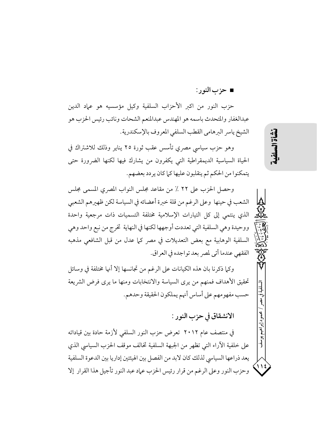■ حزب النو ر :

حزب النور من اكبر الأحزاب السلفية وكيل مؤسسيه هو عماد الدين عبدالغفار والمتحدث باسمه هو المهندس عبدالمنعم الشحات ونائب رئيس الحزب هو الشيخ ياسر البرهامي القطب السلفي المعروف بالإسكندرية.

وهو حزب سياسي مصري تأسس عقب ثورة ٢٥ يناير وذلك للاشتراك في الحياة السياسية الديمقراطية التي يكفرون من يشارك فيها لكنها الضرورة حتى يتمكنوا من الحكم ثم ينقلبون عليها كما كان ير دد بعضهم.

وحصل الحزب على ٢٢ ٪ من مقاعد مجلس النواب المصري المسمى مجلس الشعب في حينها وعلى الرغم من قلة خبرة أعضائه في السياسة لكن ظهيرهم الشعبي الذي ينتمي إلى كل التيارات الإسلامية مختلفة التسميات ذات مرجعية واحدة ووحيدة وهي السلفية التي تعددت أوجهها لكنها في النهاية تخرج من نبع واحد وهي السلفية الوهابية مع بعض التعديلات في مصر كما عدل من قبل الشافعي مذهبه الفقهي عندما أتى لمصر بعد تواجده في العراق.

وكيا ذكرنا بان هذه الكيانات على الرغم من تجانسها إلا أنها مختلفة في وسائل تحقيق الأهداف فمنهم من يرى السياسة والانتخابات ومنها ما يرى فرض الشريعة حسب مفهومهم على أساس أنهم يملكون الحقيقة وحدهم.

الانشقاق في حزب النور :

في منتصف عام ٢٠١٢ تعرض حزب النور السلفي لأزمة حادة بين قياداته على خلفية الأراء التي تظهر من الجبهة السلفية تخالف موقف الحزب السياسي الذي يعد ذراعها السياسي لذلك كان لابد من الفصل بين الهيئتين إداريا بين الدعوة السلفية وحزب النور وعلى الرغم من قرار رئيس الحزب عماد عبد النور تأجيل هذا القرار إلا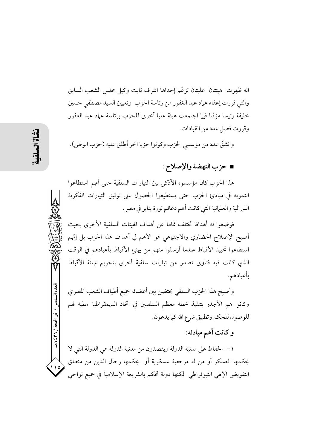انه ظهرت هيئتان عليتان تزعّم إحداها اشرف ثابت وكيل مجلس الشعب السابق والتي قررت إعفاء عماد عبد الغفور من رئاسة الحزب وتعيين السيد مصطفى حسين خليفة رئيسا مؤقتا فيها اجتمعت هيئة عليا أخرى للحزب برئاسة عماد عبد الغفور وقررت فصل عدد من القيادات.

وانشقَّ عدد من مؤسسي الحزب وكونوا حزبا آخر أطلق عليه (حزب الوطن).

## ■ حزب النهضة والإصلاح :

هذا الحزب كان مؤسسوه الأذكى بين التيارات السلفية حتى أنهم استطاعوا التمويه في مبادئ الحزب حتى يستطيعوا الحصول على توثيق التيارات الفكرية اللبرالية والعلمانية التي كانت أهم دعائم ثورة يناير في مصر .

فوضعوا له أهدافا تختلف تماما عن أهداف الهيئات السلفية الأخرى بحيث أصبح الإصلاح الحضاري والاجتهاعي هو الأهم في أهداف هذا الحزب بل إتّهم استطاعوا تحييد الأقباط عندما أرسلوا منهم من يهنئ الأقباط بأعيادهم في الوقت الذي كانت فيه فتاوى تصدر من تيارات سلفية أخرى بتحريم تهنئة الأقباط بأعيادهم.

وأصبح هذا الحزب السلفى يحتضن بين أعضائه جميع أطياف الشعب المصري وكانوا هم الأجدر بتنفيذ خطة معظم السلفيين في اتخاذ الديمقراطية مطية لهم للوصول للحكم وتطبيق شرع الله كما يدعون.

و كانت أهم مبادئه:

١ – الحفاظ على مدنية الدولة ويقصدون من مدنية الدولة هي الدولة التي لا يحكمها العسكر أو من له مرجعية عسكرية أو يحكمها رجال الدين من منطلق التفويض الإلهي الثيوقراطي ككنها دولة تحكم بالشريعة الإسلامية في جميع نواحي

العدد السادس / ذو الحبجة / ٣٦ / هـ

، ۱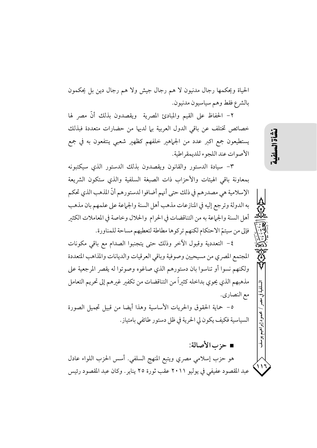الحياة ويحكمها رجال مدنيون لا هم رجال جيش ولا هم رجال دين بل يحكمون بالشرع فقط وهم سياسيون مدنيون.

٢– الحفاظ على القيم والمبادئ المصرية ويقصدون بذلك أنَّ مصر لها خصائص تختلف عن باقي الدول العربية بها لديها من حضارات متعددة فبذلك يستطيعون جمع اكبر عدد من الجماهير خلفهم كظهير شعبي ينتفعون به في جمع الأصوات عند اللجوء للديمقر اطية.

٣- سيادة الدستور والقانون ويقصدون بذلك الدستور الذي سيكتبونه بمعاونة باقى الهيئات والأحزاب ذات الصبغة السلفية والذى ستكون الشريعة الإسلامية هي مصدرهم في ذلك حتى أنهم أضافوا لدستورهم أنّ المذهب الذي تحكم به الدولة وترجع إليه في المنازعات مذهب أهل السنة والجماعة على علمهم بان مذهب أهل السنة والجماعة به من التناقضات في الحرام والحلال وخاصة في المعاملات الكثير فإلى من سيتمّ الاحتكام لكنهم تركوها مطاطة لتعطيهم مساحة للمناورة.

٤- التعددية وقبول الآخر وذلك حتى يتجنبوا الصدام مع باقى مكونات المجتمع المصري من مسيحيين وصوفية وباقى العرقيات والديانات والمذاهب المتعددة ولكنهم نسوا أو تناسوا بان دستورهم الذي صاغوه وصوتوا له يقصر المرجعية على مذهبهم الذي يحوى بداخله كثيراً من التناقضات من تكفير غيرهم إلى تحريم التعامل مع النصاري.

٥- حماية الحقوق والحريات الأساسية وهذا أيضا من قبيل تجميل الصورة السياسية فكيف يكون لي الحرية في ظل دستور طائفي بامتياز.

■ حزب الأصالة:

هو حزب إسلامي مصري ويتبع المنهج السلفي. أسس الحزب اللواء عادل عبد المقصود عفيفي في يوليو ٢٠١١ عقب ثورة ٢٥ يناير. وكان عبد المقصود رئيس نشأة السه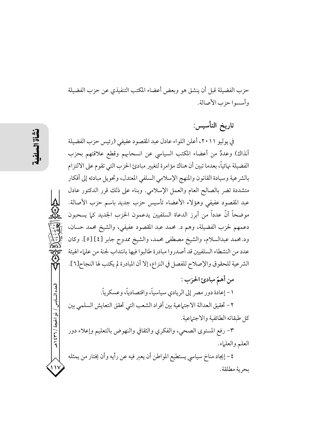حزب الفضيلة قبل أن ينشق هو وبعض أعضاء المكتب التنفيذي عن حزب الفضيلة وأسسوا حزب الأصالة.

تاريخ التأسيس:

في يوليو ٢٠١١، أعلن اللواء عادل عبد المقصود عفيفي (رئيس حزب الفضيلة آنذاك) وعددٌ من أعضاء المكتب السياسي عن انسحابهم وقطع علاقتهم بحزب الفضيلة نهائياً، بعدما تبين أن هناك مؤامرة لتغيير مبادئ الحزب التي تقوم على الالتزام بالشرعية وسيادة القانون والمنهج الإسلامي السلفى المعتدل، وتحويل مبادئه إلى أفكار متشددة تضر بالصالح العام والعمل الإسلامي. وبناء على ذلك قرر الدكتور عادل عبد المقصود عفيفي وهؤلاء الأعضاء تأسيس حزب جديد باسم حزب الأصالة. موضحاً أنَّ عدداً من أبرز الدعاة السلفيين يدعمون الحزب الجديد كما يسحبون دعمهم لحزب الفضيلة، وهم د. محمد عبد المقصود عفيفي، والشيخ محمد حسان، ود.محمد عبدالسلام، والشيخ مصطفى محمد، والشيخ ممدوح جابر [٤] [٥]. وكان عدد من النشطاء السلفيين قد أصدروا مبادرة طالبوا فيها بانتداب لجنة من علماء الهيئة الشرعية للحقوق والإصلاح للفصل في النزاع، إلا أن المبادرة لم يكتب لها النجاح[٦].

من أهمّ مبادئ الحزب : ١ – إعادة دور مصر إلى الريادي سياسياً، واقتصادياً، وعسكرياً. ٢- تحقيق العدالة الاجتماعية بين أفراد الشعب التي تحقق التعايش السلمي بين كا طبقاته الطائفية والاجتماعية.

٣- رفع المستوى الصحى، والفكرى والثقافي والنهوض بالتعليم وإعلاء دور العلم والعلياء.

٤- إيجاد مناخ سياسي يستطيع المواطن أن يعبر فيه عن رأيه وأن يختار من يمثله بحرية مطلقة.

العدد السادس / ذو الحجة / ٣٦٦ هـ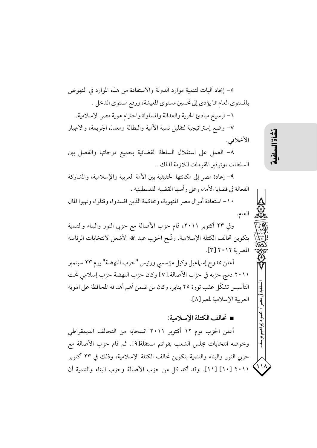٥– إيجاد آليات لتنمية موارد الدولة والاستفادة من هذه الموارد في النهوض بالمستوى العام مما يؤدي إلى تحسين مستوى المعيشة، ورفع مستوى الدخل . ٦- ترسيخ مبادئ الحرية والعدالة والمساواة واحترام هوية مصر الإسلامية. ٧– وضع إستراتيجية لتقليل نسبة الأمية والبطالة ومعدل الجريمة، والانهيار الأخلاقي.

٨- العمل على استقلال السلطة القضائية بجميع درجاتها والفصل بين السلطات ،وتوفير المقومات اللازمة لذلك .

٩- إعادة مصر إلى مكانتها الحقيقية بين الأمة العربية والإسلامية، والمشاركة الفعالة في قضايا الأمة، وعلى رأسها القضية الفلسطينية .

١٠- استعادة أموال مصر المنهوبة، ومحاكمة الذين افسدوا، وقتلوا، ونهبوا المال العام.

وفي ٢٣ أكتوبر ٢٠١١، قام حزب الأصالة مع حزبي النور والبناء والتنمية بتكوين تحالف الكتلة الإسلامية. رشَّح الحزب عبد الله الأشعل لانتخابات الرئاسة المصرية ٢٠١٢[٣].

أعلن ممدوح إسماعيل وكيل مؤسسي ورئيس "حزب النهضة" يوم ٢٣ سبتمبر ٢٠١١ دمج حزبه في حزب الأصالة.[٧] وكان حزب النهضة حزب إسلامي تحت التأسيس تشكّل عقب ثورة ٢٥ يناير، وكان من ضمن أهم أهدافه المحافظة على الهوية العربية الإسلامية لمصر [٨].

■ تحالف الكتلة الإسلامية:

أعلن الحزب يوم ١٢ أكتوبر ٢٠١١ انسحابه من التحالف الديمقراطي وخوضه انتخابات مجلس الشعب بقوائم مستقلة[٩]. ثم قام حزب الأصالة مع حزبي النور والبناء والتنمية بتكوين تحالف الكتلة الإسلامية، وذلك في ٢٣ أكتوبر ٢٠١١ [١٠] [١١]. وقد أكد كل من حزب الأصالة وحزب البناء والتنمية أن محمود إبراهيم

 $\cdot \cdot \cdot$ 

 $\lambda$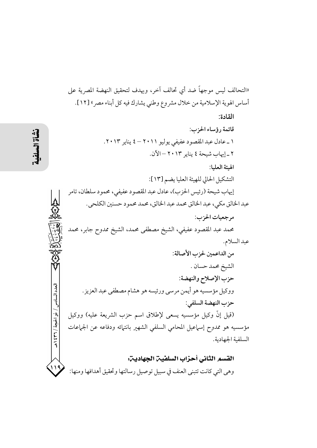«التحالف ليس موجهاً ضد أي تحالف آخر، ويهدف لتحقيق النهضة المصرية على أساس الهوية الإسلامية من خلال مشروع وطني يشارك فيه كل أبناء مصر» [١٢]. القادة: قائمة رؤساء الجزب: ١ \_ عادل عبد المقصود عفيفي يوليو ٢٠١١ – ٤ يناير ٢٠١٣. ٢ \_ إيهاب شيحة ٤ يناير ٢٠١٣ - الآن. الهئة العليا: التشكيل الحالي للهيئة العليا يضم [١٣]: إيهاب شيحة (رئيس الحزب)، عادل عبد المقصود عفيفي، محمود سلطان، تامر عبد الخالق مكي، عبد الخالق محمد عبد الخالق، محمد محمود حسنين الكلحي. مرجعيات الحزب: محمد عبد المقصود عفيفي، الشيخ مصطفى محمد، الشيخ ممدوح جابر، محمد عبد السلام. من الداعمين لحزب الأصالة: الشيخ محمد حسان . حزب الإصلاح والنهضة: ووكيل مؤسسيه هو أيمن مرسىي ورئيسه هو هشام مصطفى عبد العزيز. حزب النهضة السلفي: (قيل إنَّ وكيل مؤسسيه يسعى لإطلاق اسم حزب الشريعة عليه) ووكيل مؤسسيه هو ممدوح إسماعيل المحامى السلفى الشهير بانتهائه ودفاعه عن الجماعات السلفية الجهادية. القسم الثاني أحزاب السلفين الجهادين:

وهي التي كانت تتبنى العنف في سبيل توصيل رسالتها وتحقيق أهدافها ومنها:

حدد السادس

/ ذو الحجة / ٢٦١ / هـ

119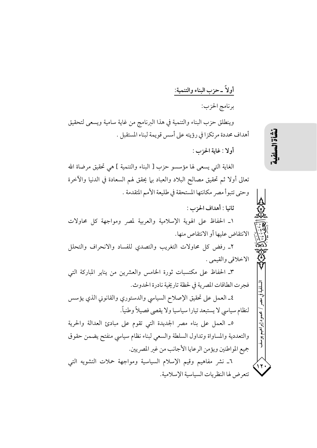أولاً ـ حزب البناء والتنمية: برنامج الحزب: وينطلق حزب البناء والتنمية في هذا البرنامج من غاية سامية ويسعى لتحقيق أهداف محددة مرتكزا في رؤيته على أسس قويمة لبناء المستقبل . أولا : غابة الحزب : الغاية التي يسعى لها مؤسسو حزب [ البناء والتنمية ] هي تحقيق مرضاة الله تعالى أولا ثم تحقيق مصالح البلاد والعباد بها يحقق لهم السعادة في الدنيا والآخرة وحتى تتبوأ مصر مكانتها المستحقة في طليعة الأمم المتقدمة . ثانيا : أهداف الحزب : ١\_ الحفاظ على الهوية الإسلامية والعربية لمصر ومواجهة كل محاولات الانتقاض عليها أو الانتقاص منها. ٢ـ رفض كل محاولات التغريب والتصدي للفساد والانحراف والتحلل الاخلاقي والقيمي . ٣\_ الحفاظ على مكتسبات ثورة الخامس والعشرين من يناير المباركة التي فجرت الطاقات المصرية في لحظة تاريخية نادرة الحدوث. ٤ـ العمل على تحقيق الإصلاح السياسي والدستوري والقانوني الذي يؤسس لنظام سياسي لا يستبعد تيارا سياسيا ولا يقصي فصيلاً وطنياً. محمود إبراهيم يوسف ٥\_ العمل على بناء مصر الجديدة التي تقوم على مبادئ العدالة والحرية والتعددية والمساواة وتداول السلطة والسعى لبناء نظام سياسي منفتح يضمن حقوق جميع المواطنين ويؤمن الرعايا الأجانب من غير المصريين. ٦ـ نشر مفاهيم وقيم الإسلام السياسية ومواجهة حملات التشويه التبي تتعرض لها النظريات السياسية الإسلامية.

نَشَأة السلف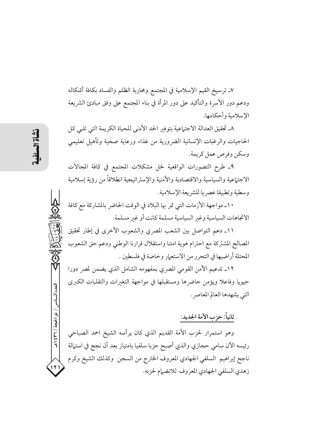٧ـ ترسيخ القيم الإسلامية في المجتمع ومحاربة الظلم والفساد بكافة أشكاله ودعم دور الأسرة والتأكيد على دور المرأة في بناء المجتمع على وفق مبادئ الشريعة الإسلامية وأحكامها.

٨ـ تحقيق العدالة الاجتماعية بتوفير الحد الأدنى للحياة الكريمة التي تلبي كل الحاجيات والرغبات الإنسانية الضرورية من غذاء ورعاية صحية وتأهيل تعليمي وسكن وفرص عمل كريمة.

٩\_ طرح التصورات الواقعية لحل مشكلات المجتمع في كافة المجالات الاجتياعية والسياسية والاقتصادية والأمنية والإستراتيجية انطلاقاً من رؤية إسلامية وسطية وتطبيقا عصريا للشريعة الإسلامية.

١٠\_ مواجهة الأزمات التي تمر بها البلاد في الوقت الحاضر بالمشاركة مع كافة الاتجاهات السياسية وغير السياسية مسلمة كانت أو غير مسلمة.

١١ـ دعم التواصل بين الشعب المصرى والشعوب الأخرى في إطار تحقيق المصالح المشتركة مع احترام هوية امتنا واستقلال قرارنا الوطني ودعم حق الشعوب المحتلة أراضيها في التحرر من الاستعمار وخاصة في فلسطين .

١٢ـ تدعيم الأمن القومي المصري بمفهومه الشامل الذي يضمن لمصر دورا حيويا وفاعلا ويؤمن حاضرها ومستقبلها في مواجهة التغيرات والتقلبات الكبرى التي يشهدها العالم المعاصر .

## ثانياً: حزب الأمة الجديد:

وهو استمرار لحزب الأمة القديم الذي كان يرأسه الشيخ احمد الصباحي رئيسه الآن سامي حجازي والذي أصبح حزبا سلفيا بامتياز بعد أن نجح في استهالة ناجح إبراهيم السلفي الجهادي المعروف الخارج من السجن وكذلك الشيخ وكرم زهدي السلفي الجهادي المعروف للانضيام لحزبه.

العدد السادس

/ ذو الحجة / ٢٦٦ / هـ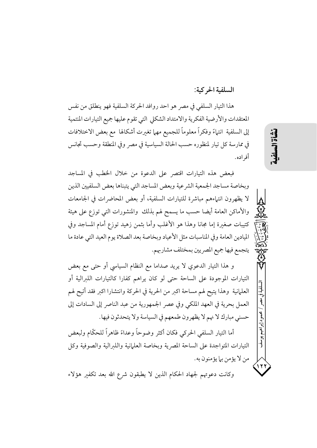#### السلفية الحركية:

山道

محمود إبراهيم يوسف

۱۲'

هذا التيار السلفي في مصر هو احد روافد الحركة السلفية فهو ينطلق من نفس المعتقدات والأرضية الفكرية والامتداد الشكلي التي تقوم عليها جميع التيارات المنتمية إلى السلفية انتهاءً وفكراً معلوماً للجميع مهما تغبرت أشكالها مع بعض الاختلافات في ممارسة كل تيار لمنظوره حسب الحالة السياسية في مصر وفي المنطقة وحسب تجانس أفر اده.

فبعض هذه التيارات اقتصر على الدعوة من خلال الخطب في المساجد وبخاصة مساجد الجمعية الشرعية وبعض المساجد التي يتبناها بعض السلفيين الذين لا يظهرون انتهاءهم مباشرة للتيارات السلفية، أو بعض المحاضرات في الجامعات والأماكن العامة أيضا حسب ما يسمح لهم بذلك والمنشورات التي توزع على هيئة كتيبات صغبرة إما مجانا وهذا هو الأغلب وأما بثمن زهيد توزع أمام المساجد وفي الميادين العامة وفي المناسبات مثل الأعياد وبخاصة بعد الصلاة يوم العيد التي عادة ما يتجمع فيها جميع المصريين بمختلف مشاربهم.

و هذا التيار الدعوى لا يريد صداما مع النظام السياسي أو حتى مع بعض التيارات الموجودة على الساحة حتى لو كان يراهم كفارا كالتيارات اللبرالية أو العلمانية ۖ وهذا يتيح لهم مساحة اكبر من الحرية في الحركة وانتشارا اكبر فقد أتيح لهم العمل بحرية في العهد الملكي وفي عصر الجمهورية من عبد الناصر إلى السادات إلى حسني مبارك لا نهم لا يظهرون طمعهم في السياسة ولا يتحدثون فيها.

أما التيار السلفي الحركي فكان أكثر وضوحاً وعداءً ظاهراً للحكَّام ولبعض التيارات المتواجدة على الساحة المصرية وبخاصة العلمانية واللىرالية والصوفية وكل من لا يؤمن بيا يؤمنون به.

وكانت دعوتهم لجهاد الحكام الذين لا يطبقون شرع الله بعد تكفير هؤلاء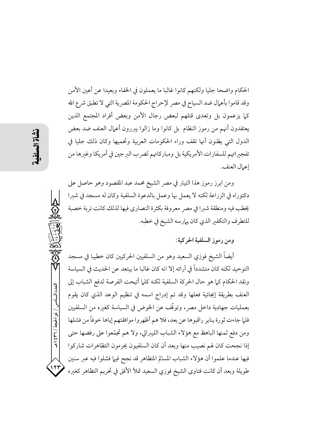الحكام واضحا جليا ولكنهم كانوا غالبا ما يعملون في الخفاء وبعيدا عن أعين الأمن وقد قاموا بأعمال ضد السياح في مصر لإحراج الحكومة المصرية التي لا تطبق شرع الله كما يزعمون بل وتعدى قتلهم لبعض رجال الأمن وبعض أفراد المجتمع الذين يعتقدون أنهم من رموز النظام بل كانوا وما زالوا يبررون أعمال العنف ضد بعض الدول التي يظنون أنها تقف وراء الحكومات العربية وتحميها وكان ذلك جليا في تفجيراتهم للسفارات الأمريكية بل ومباركاتهم لضرب البرجين في أمريكا وغيرها من إعمال العنف.

ومن ابرز رموز هذا التيار في مصر الشيخ محمد عبد المقصود وهو حاصل على دكتوراه في الزراعة لكنه لا يعمل بها وعمل بالدعوة السلفية وكان له مسجد في شيرا يخطب فيه ومنطقة شيرا في مصر معروفة بكثرة النصارى فيها لذلك كانت تربة خصبة للتطرف والتكفير الذي كان يهارسه الشيخ في خطبه.

ومن رموز السلفية الحركية:

أيضاً الشيخ فوزى السعيد وهو من السلفيين الحركيين كان خطيبا في مسجد التوحيد لكنه كان متشدداً في آرائه إلا انه كان غالبا ما يبتعد عن الحديث في السياسة ونقد الحكام كما هو حال الحركة السلفية لكنه كلما أتيحت الفرصة لدفع الشباب إلى العنف بطريقة إيحائية فعلها وقد تم إدراج اسمه في تنظيم الوعد الذي كان يقوم بعمليات جهادية داخل مصر، وتوقَّف عن الخوض في السياسة كغيره من السلفيين فلما جاءت ثورة يناير راقبوها عن بعد، فلا هم أظهروا موافقتهم إياها خوفاً من فشلها ومن دفع ثمنها الباهظ مع هؤلاء الشباب الليبرالي، ولا هم تجمّعوا على رفضها حتى إذا نجحت كان لهم نصيب منها وبعد أن كان السلفيون يحرمون التظاهرات شاركوا فيها عندما علموا أن هؤلاء الشباب المسالم المتظاهر قد نجح فيها فشلوا فيه عبر سنين طويلة وبعد أن كانت فتاوى الشيخ فوزي السعيد تملأ الأفق في تحريم التظاهر كغيره

العدد السادس / ذو الحجة / ٣٦ / ٤٣٩

۱۲۳